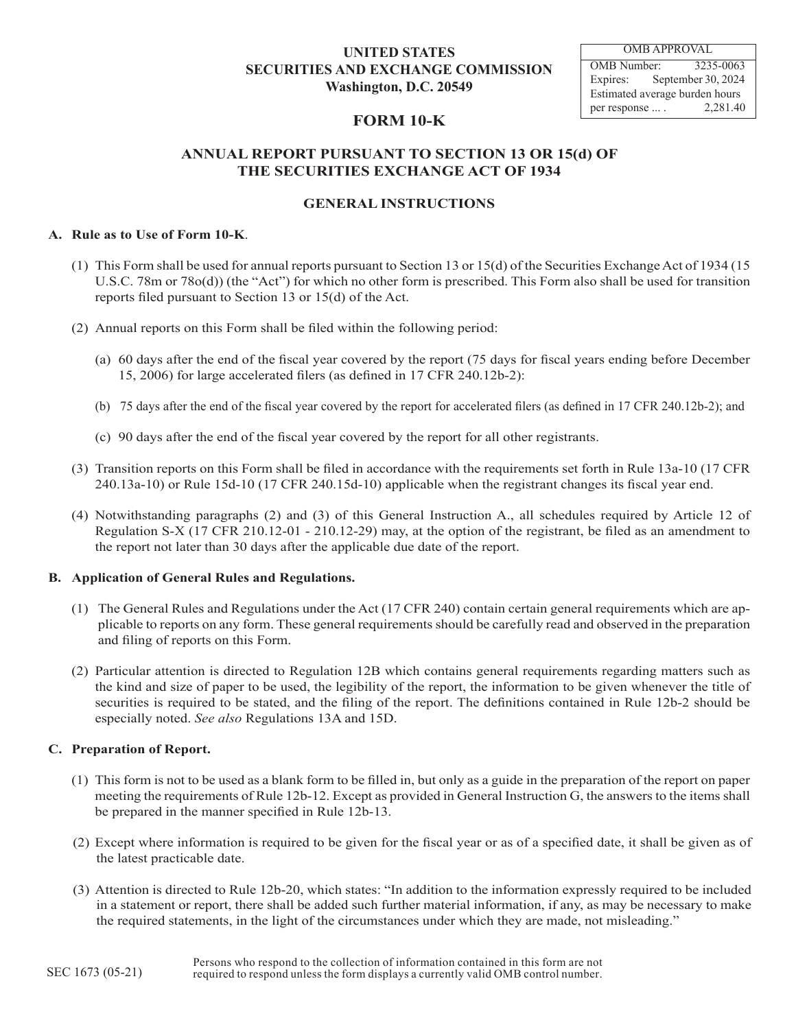# **UNITED STATES SECURITIES AND EXCHANGE COMMISSION Washington, D.C. 20549**

# **FORM 10-K**

# **ANNUAL REPORT PURSUANT TO SECTION 13 OR 15(d) OF THE SECURITIES EXCHANGE ACT OF 1934**

# **GENERAL INSTRUCTIONS**

# **A. Rule as to Use of Form 10-K**.

- (1) This Form shall be used for annual reports pursuant to Section 13 or 15(d) of the Securities Exchange Act of 1934 (15 U.S.C. 78m or 78o(d)) (the "Act") for which no other form is prescribed. This Form also shall be used for transition reports filed pursuant to Section 13 or  $15(d)$  of the Act.
- (2) Annual reports on this Form shall be filed within the following period:
	- (a) 60 days after the end of the fiscal year covered by the report  $(75 \text{ days}$  for fiscal years ending before December 15, 2006) for large accelerated filers (as defined in  $17$  CFR 240.12b-2):
	- (b) 75 days after the end of the fiscal year covered by the report for accelerated filers (as defined in 17 CFR 240.12b-2); and
	- (c) 90 days after the end of the fiscal year covered by the report for all other registrants.
- (3) Transition reports on this Form shall be filed in accordance with the requirements set forth in Rule 13a-10 (17 CFR  $240.13a-10$ ) or Rule 15d-10 (17 CFR 240.15d-10) applicable when the registrant changes its fiscal year end.
- (4) Notwithstanding paragraphs (2) and (3) of this General Instruction A., all schedules required by Article 12 of Regulation S-X (17 CFR 210.12-01 - 210.12-29) may, at the option of the registrant, be filed as an amendment to the report not later than 30 days after the applicable due date of the report.

# **B. Application of General Rules and Regulations.**

- (1) The General Rules and Regulations under the Act (17 CFR 240) contain certain general requirements which are applicable to reports on any form. These general requirements should be carefully read and observed in the preparation and filing of reports on this Form.
- (2) Particular attention is directed to Regulation 12B which contains general requirements regarding matters such as the kind and size of paper to be used, the legibility of the report, the information to be given whenever the title of securities is required to be stated, and the filing of the report. The definitions contained in Rule 12b-2 should be especially noted. *See also* Regulations 13A and 15D.

# **C. Preparation of Report.**

- (1) This form is not to be used as a blank form to be fi lled in, but only as a guide in the preparation of the report on paper meeting the requirements of Rule 12b-12. Except as provided in General Instruction G, the answers to the items shall be prepared in the manner specified in Rule 12b-13.
- $(2)$  Except where information is required to be given for the fiscal year or as of a specified date, it shall be given as of the latest practicable date.
- (3) Attention is directed to Rule 12b-20, which states: "In addition to the information expressly required to be included in a statement or report, there shall be added such further material information, if any, as may be necessary to make the required statements, in the light of the circumstances under which they are made, not misleading."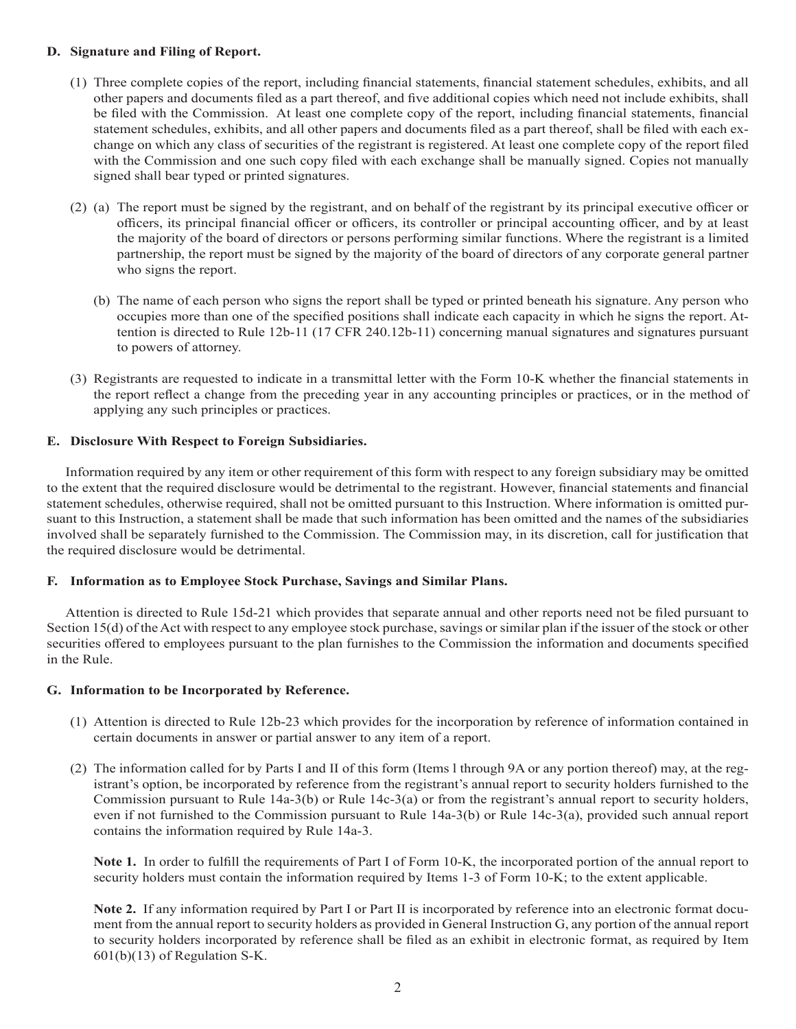# **D. Signature and Filing of Report.**

- (1) Three complete copies of the report, including financial statements, financial statement schedules, exhibits, and all other papers and documents filed as a part thereof, and five additional copies which need not include exhibits, shall be filed with the Commission. At least one complete copy of the report, including financial statements, financial statement schedules, exhibits, and all other papers and documents filed as a part thereof, shall be filed with each exchange on which any class of securities of the registrant is registered. At least one complete copy of the report filed with the Commission and one such copy filed with each exchange shall be manually signed. Copies not manually signed shall bear typed or printed signatures.
- (2) (a) The report must be signed by the registrant, and on behalf of the registrant by its principal executive officer or officers, its principal financial officer or officers, its controller or principal accounting officer, and by at least the majority of the board of directors or persons performing similar functions. Where the registrant is a limited partnership, the report must be signed by the majority of the board of directors of any corporate general partner who signs the report.
	- (b) The name of each person who signs the report shall be typed or printed beneath his signature. Any person who occupies more than one of the specified positions shall indicate each capacity in which he signs the report. Attention is directed to Rule 12b-11 (17 CFR 240.12b-11) concerning manual signatures and signatures pursuant to powers of attorney.
- (3) Registrants are requested to indicate in a transmittal letter with the Form 10-K whether the financial statements in the report reflect a change from the preceding year in any accounting principles or practices, or in the method of applying any such principles or practices.

# **E. Disclosure With Respect to Foreign Subsidiaries.**

 Information required by any item or other requirement of this form with respect to any foreign subsidiary may be omitted to the extent that the required disclosure would be detrimental to the registrant. However, financial statements and financial statement schedules, otherwise required, shall not be omitted pursuant to this Instruction. Where information is omitted pursuant to this Instruction, a statement shall be made that such information has been omitted and the names of the subsidiaries involved shall be separately furnished to the Commission. The Commission may, in its discretion, call for justification that the required disclosure would be detrimental.

# **F. Information as to Employee Stock Purchase, Savings and Similar Plans.**

Attention is directed to Rule 15d-21 which provides that separate annual and other reports need not be filed pursuant to Section 15(d) of the Act with respect to any employee stock purchase, savings or similar plan if the issuer of the stock or other securities offered to employees pursuant to the plan furnishes to the Commission the information and documents specified in the Rule.

# **G. Information to be Incorporated by Reference.**

- (1) Attention is directed to Rule 12b-23 which provides for the incorporation by reference of information contained in certain documents in answer or partial answer to any item of a report.
- (2) The information called for by Parts I and II of this form (Items l through 9A or any portion thereof) may, at the registrant's option, be incorporated by reference from the registrant's annual report to security holders furnished to the Commission pursuant to Rule 14a-3(b) or Rule 14c-3(a) or from the registrant's annual report to security holders, even if not furnished to the Commission pursuant to Rule 14a-3(b) or Rule 14c-3(a), provided such annual report contains the information required by Rule 14a-3.

**Note 1.** In order to fulfill the requirements of Part I of Form 10-K, the incorporated portion of the annual report to security holders must contain the information required by Items 1-3 of Form 10-K; to the extent applicable.

 **Note 2.** If any information required by Part I or Part II is incorporated by reference into an electronic format document from the annual report to security holders as provided in General Instruction G, any portion of the annual report to security holders incorporated by reference shall be filed as an exhibit in electronic format, as required by Item  $601(b)(13)$  of Regulation S-K.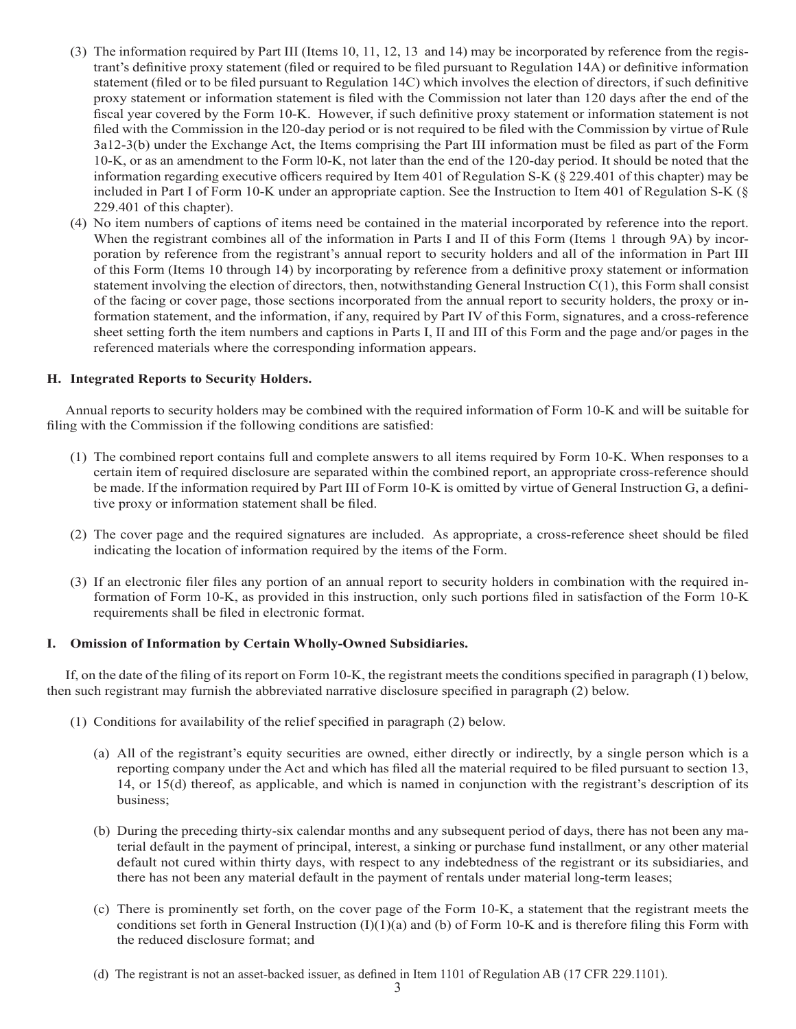- (3) The information required by Part III (Items 10, 11, 12, 13 and 14) may be incorporated by reference from the registrant's definitive proxy statement (filed or required to be filed pursuant to Regulation 14A) or definitive information statement (filed or to be filed pursuant to Regulation 14C) which involves the election of directors, if such definitive proxy statement or information statement is filed with the Commission not later than 120 days after the end of the fiscal year covered by the Form 10-K. However, if such definitive proxy statement or information statement is not filed with the Commission in the 120-day period or is not required to be filed with the Commission by virtue of Rule 3a12-3(b) under the Exchange Act, the Items comprising the Part III information must be fi led as part of the Form 10-K, or as an amendment to the Form l0-K, not later than the end of the 120-day period. It should be noted that the information regarding executive officers required by Item 401 of Regulation S-K ( $\S$  229.401 of this chapter) may be included in Part I of Form 10-K under an appropriate caption. See the Instruction to Item 401 of Regulation S-K (§ 229.401 of this chapter).
- (4) No item numbers of captions of items need be contained in the material incorporated by reference into the report. When the registrant combines all of the information in Parts I and II of this Form (Items 1 through 9A) by incorporation by reference from the registrant's annual report to security holders and all of the information in Part III of this Form (Items 10 through 14) by incorporating by reference from a definitive proxy statement or information statement involving the election of directors, then, notwithstanding General Instruction C(1), this Form shall consist of the facing or cover page, those sections incorporated from the annual report to security holders, the proxy or information statement, and the information, if any, required by Part IV of this Form, signatures, and a cross-reference sheet setting forth the item numbers and captions in Parts I, II and III of this Form and the page and/or pages in the referenced materials where the corresponding information appears.

# **H. Integrated Reports to Security Holders.**

 Annual reports to security holders may be combined with the required information of Form 10-K and will be suitable for filing with the Commission if the following conditions are satisfied:

- (1) The combined report contains full and complete answers to all items required by Form 10-K. When responses to a certain item of required disclosure are separated within the combined report, an appropriate cross-reference should be made. If the information required by Part III of Form 10-K is omitted by virtue of General Instruction G, a definitive proxy or information statement shall be filed.
- (2) The cover page and the required signatures are included. As appropriate, a cross-reference sheet should be filed indicating the location of information required by the items of the Form.
- (3) If an electronic filer files any portion of an annual report to security holders in combination with the required information of Form 10-K, as provided in this instruction, only such portions filed in satisfaction of the Form 10-K requirements shall be filed in electronic format.

# **I. Omission of Information by Certain Wholly-Owned Subsidiaries.**

If, on the date of the filing of its report on Form 10-K, the registrant meets the conditions specified in paragraph  $(1)$  below, then such registrant may furnish the abbreviated narrative disclosure specified in paragraph (2) below.

- (1) Conditions for availability of the relief specified in paragraph  $(2)$  below.
	- (a) All of the registrant's equity securities are owned, either directly or indirectly, by a single person which is a reporting company under the Act and which has filed all the material required to be filed pursuant to section 13, 14, or 15(d) thereof, as applicable, and which is named in conjunction with the registrant's description of its business;
	- (b) During the preceding thirty-six calendar months and any subsequent period of days, there has not been any material default in the payment of principal, interest, a sinking or purchase fund installment, or any other material default not cured within thirty days, with respect to any indebtedness of the registrant or its subsidiaries, and there has not been any material default in the payment of rentals under material long-term leases;
	- (c) There is prominently set forth, on the cover page of the Form 10-K, a statement that the registrant meets the conditions set forth in General Instruction  $(I)(1)(a)$  and  $(b)$  of Form 10-K and is therefore filing this Form with the reduced disclosure format; and
	- (d) The registrant is not an asset-backed issuer, as defined in Item 1101 of Regulation AB (17 CFR 229.1101).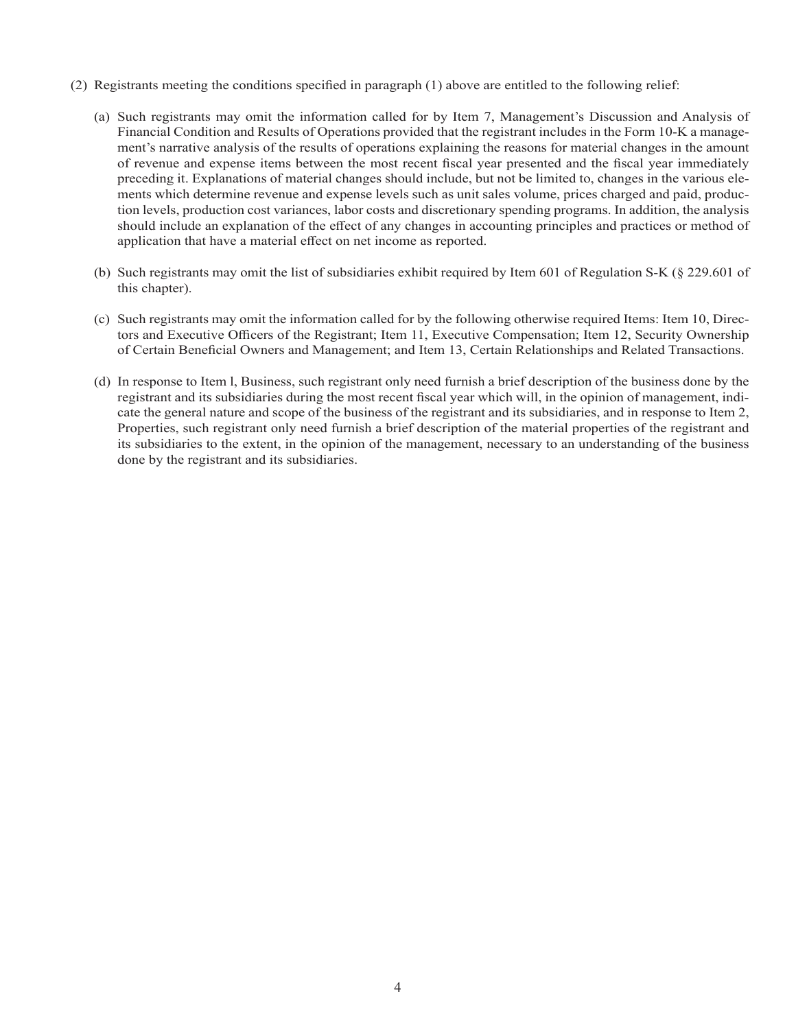- (2) Registrants meeting the conditions specified in paragraph  $(1)$  above are entitled to the following relief:
	- (a) Such registrants may omit the information called for by Item 7, Management's Discussion and Analysis of Financial Condition and Results of Operations provided that the registrant includes in the Form 10-K a management's narrative analysis of the results of operations explaining the reasons for material changes in the amount of revenue and expense items between the most recent fiscal year presented and the fiscal year immediately preceding it. Explanations of material changes should include, but not be limited to, changes in the various elements which determine revenue and expense levels such as unit sales volume, prices charged and paid, production levels, production cost variances, labor costs and discretionary spending programs. In addition, the analysis should include an explanation of the effect of any changes in accounting principles and practices or method of application that have a material effect on net income as reported.
	- (b) Such registrants may omit the list of subsidiaries exhibit required by Item 601 of Regulation S-K (§ 229.601 of this chapter).
	- (c) Such registrants may omit the information called for by the following otherwise required Items: Item 10, Directors and Executive Officers of the Registrant; Item 11, Executive Compensation; Item 12, Security Ownership of Certain Beneficial Owners and Management; and Item 13, Certain Relationships and Related Transactions.
	- (d) In response to Item l, Business, such registrant only need furnish a brief description of the business done by the registrant and its subsidiaries during the most recent fiscal year which will, in the opinion of management, indicate the general nature and scope of the business of the registrant and its subsidiaries, and in response to Item 2, Properties, such registrant only need furnish a brief description of the material properties of the registrant and its subsidiaries to the extent, in the opinion of the management, necessary to an understanding of the business done by the registrant and its subsidiaries.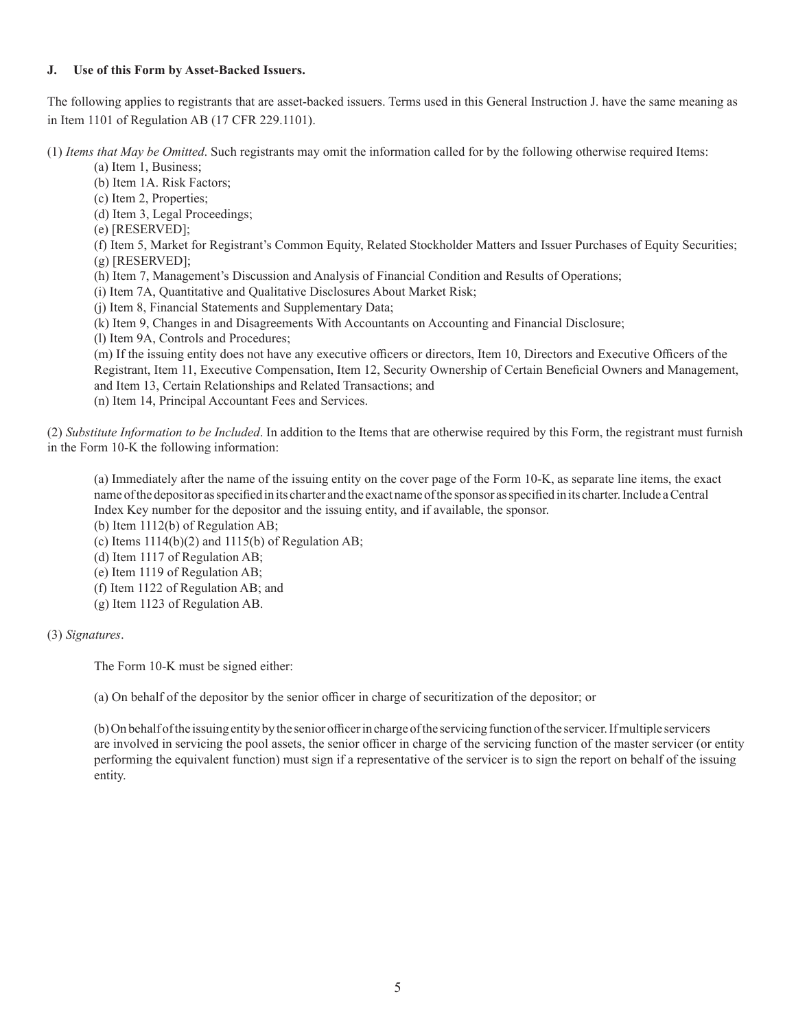# **J. Use of this Form by Asset-Backed Issuers.**

The following applies to registrants that are asset-backed issuers. Terms used in this General Instruction J. have the same meaning as in Item 1101 of Regulation AB (17 CFR 229.1101).

(1) *Items that May be Omitted*. Such registrants may omit the information called for by the following otherwise required Items:

(a) Item 1, Business;

(b) Item 1A. Risk Factors;

(c) Item 2, Properties;

(d) Item 3, Legal Proceedings;

(e) [RESERVED];

 (f) Item 5, Market for Registrant's Common Equity, Related Stockholder Matters and Issuer Purchases of Equity Securities; (g) [RESERVED];

(h) Item 7, Management's Discussion and Analysis of Financial Condition and Results of Operations;

(i) Item 7A, Quantitative and Qualitative Disclosures About Market Risk;

(j) Item 8, Financial Statements and Supplementary Data;

(k) Item 9, Changes in and Disagreements With Accountants on Accounting and Financial Disclosure;

(l) Item 9A, Controls and Procedures;

(m) If the issuing entity does not have any executive officers or directors, Item 10, Directors and Executive Officers of the Registrant, Item 11, Executive Compensation, Item 12, Security Ownership of Certain Beneficial Owners and Management, and Item 13, Certain Relationships and Related Transactions; and

(n) Item 14, Principal Accountant Fees and Services.

(2) *Substitute Information to be Included*. In addition to the Items that are otherwise required by this Form, the registrant must furnish in the Form 10-K the following information:

 (a) Immediately after the name of the issuing entity on the cover page of the Form 10-K, as separate line items, the exact name of the depositor as specified in its charter and the exact name of the sponsor as specified in its charter. Include a Central Index Key number for the depositor and the issuing entity, and if available, the sponsor.

(b) Item 1112(b) of Regulation AB;

(c) Items  $1114(b)(2)$  and  $1115(b)$  of Regulation AB;

(d) Item 1117 of Regulation AB;

(e) Item 1119 of Regulation AB;

(f) Item 1122 of Regulation AB; and

(g) Item 1123 of Regulation AB.

# (3) *Signatures*.

The Form 10-K must be signed either:

(a) On behalf of the depositor by the senior officer in charge of securitization of the depositor; or

(b) On behalf of the issuing entity by the senior officer in charge of the servicing function of the servicer. If multiple servicers are involved in servicing the pool assets, the senior officer in charge of the servicing function of the master servicer (or entity performing the equivalent function) must sign if a representative of the servicer is to sign the report on behalf of the issuing entity.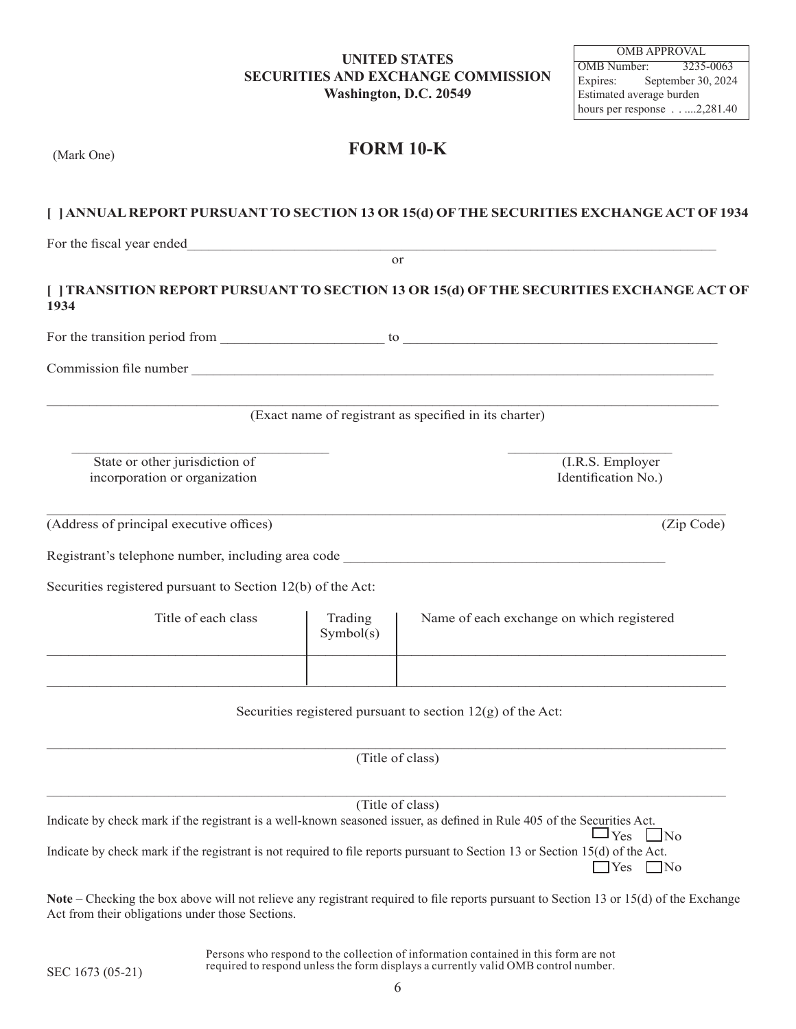# **UNITED STATES SECURITIES AND EXCHANGE COMMISSION Washington, D.C. 20549**

**FORM 10-K**

| <b>OMB APPROVAL</b>        |                    |  |
|----------------------------|--------------------|--|
| <b>OMB</b> Number:         | 3235-0063          |  |
| Expires:                   | September 30, 2024 |  |
| Estimated average burden   |                    |  |
| hours per response2,281.40 |                    |  |

|                                                                 |                      | [ ] ANNUAL REPORT PURSUANT TO SECTION 13 OR 15(d) OF THE SECURITIES EXCHANGE ACT OF 1934                                                                                                                                       |
|-----------------------------------------------------------------|----------------------|--------------------------------------------------------------------------------------------------------------------------------------------------------------------------------------------------------------------------------|
|                                                                 |                      |                                                                                                                                                                                                                                |
|                                                                 |                      | <sub>or</sub>                                                                                                                                                                                                                  |
| 1934                                                            |                      | [ ] TRANSITION REPORT PURSUANT TO SECTION 13 OR 15(d) OF THE SECURITIES EXCHANGE ACT OF                                                                                                                                        |
|                                                                 |                      | For the transition period from the state of the contract of the contract of the transition period from the contract of the contract of the contract of the contract of the contract of the contract of the contract of the con |
|                                                                 |                      |                                                                                                                                                                                                                                |
|                                                                 |                      |                                                                                                                                                                                                                                |
|                                                                 |                      | (Exact name of registrant as specified in its charter)                                                                                                                                                                         |
| State or other jurisdiction of<br>incorporation or organization |                      | (I.R.S. Employer<br>Identification No.)                                                                                                                                                                                        |
| (Address of principal executive offices)                        |                      | (Zip Code)                                                                                                                                                                                                                     |
|                                                                 |                      |                                                                                                                                                                                                                                |
| Securities registered pursuant to Section 12(b) of the Act:     |                      |                                                                                                                                                                                                                                |
| Title of each class                                             | Trading<br>Symbol(s) | Name of each exchange on which registered                                                                                                                                                                                      |
|                                                                 |                      |                                                                                                                                                                                                                                |
|                                                                 |                      | Securities registered pursuant to section $12(g)$ of the Act:                                                                                                                                                                  |
|                                                                 |                      | (Title of class)                                                                                                                                                                                                               |
|                                                                 |                      | (Title of class)<br>Indicate by check mark if the registrant is a well-known seasoned issuer, as defined in Rule 405 of the Securities Act.<br>$\Box$ Yes<br>$\Box$ No                                                         |
|                                                                 |                      | Indicate by check mark if the registrant is not required to file reports pursuant to Section 13 or Section 15(d) of the Act.<br>$\mathbf{Yes}$<br>$\Box$ No                                                                    |
| Act from their obligations under those Sections.                |                      | Note – Checking the box above will not relieve any registrant required to file reports pursuant to Section 13 or 15(d) of the Exchange                                                                                         |

Persons who respond to the collection of information contained in this form are not required to respond unless the form displays a currently valid OMB control number.

(Mark One)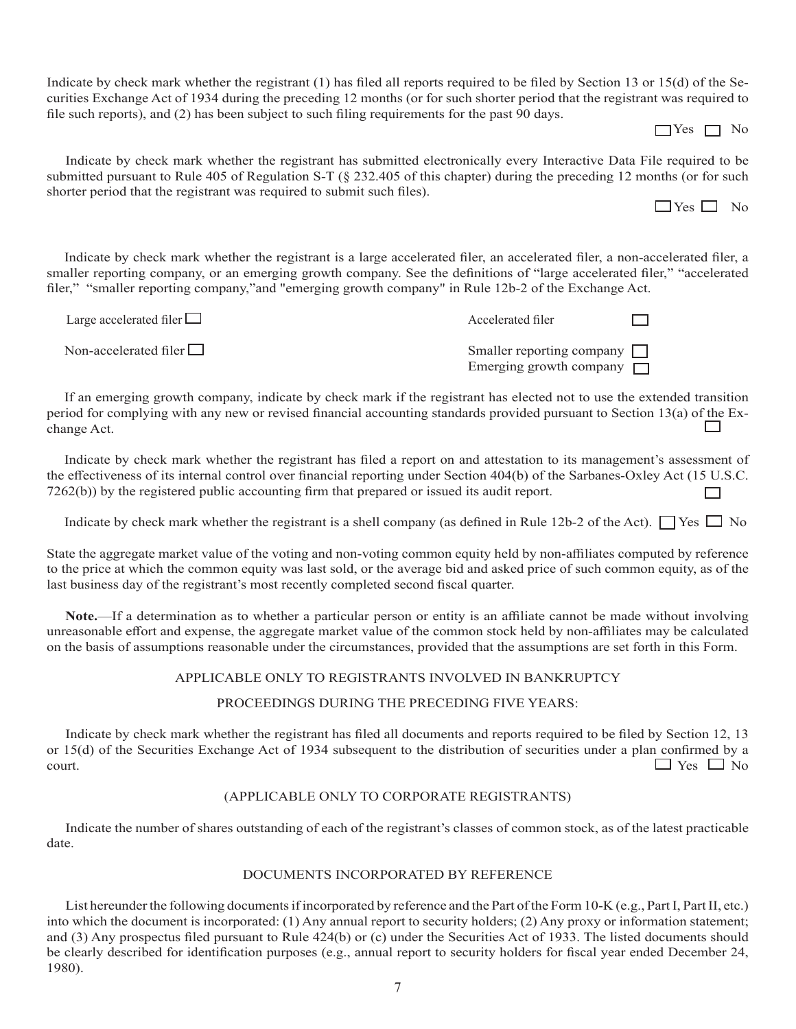Indicate by check mark whether the registrant  $(1)$  has filed all reports required to be filed by Section 13 or 15(d) of the Securities Exchange Act of 1934 during the preceding 12 months (or for such shorter period that the registrant was required to file such reports), and  $(2)$  has been subject to such filing requirements for the past 90 days.

 $\Box$  Yes  $\Box$  No

 Indicate by check mark whether the registrant has submitted electronically every Interactive Data File required to be submitted pursuant to Rule 405 of Regulation S-T (§ 232.405 of this chapter) during the preceding 12 months (or for such shorter period that the registrant was required to submit such files).

|  |  | $\Box$ Yes $\Box$ No |  |
|--|--|----------------------|--|
|  |  |                      |  |

Indicate by check mark whether the registrant is a large accelerated filer, an accelerated filer, a non-accelerated filer, a smaller reporting company, or an emerging growth company. See the definitions of "large accelerated filer," "accelerated filer," "smaller reporting company,"and "emerging growth company" in Rule 12b-2 of the Exchange Act.

| Large accelerated filer $\Box$ | Accelerated filer                                                  |
|--------------------------------|--------------------------------------------------------------------|
| Non-accelerated filer $\Box$   | Smaller reporting company $\Box$<br>Emerging growth company $\Box$ |

 If an emerging growth company, indicate by check mark if the registrant has elected not to use the extended transition period for complying with any new or revised financial accounting standards provided pursuant to Section 13(a) of the Exchange Act.

Indicate by check mark whether the registrant has filed a report on and attestation to its management's assessment of the effectiveness of its internal control over financial reporting under Section 404(b) of the Sarbanes-Oxley Act (15 U.S.C.  $7262(b)$ ) by the registered public accounting firm that prepared or issued its audit report.  $\Box$ 

Indicate by check mark whether the registrant is a shell company (as defined in Rule 12b-2 of the Act).  $\Box$  Yes  $\Box$  No

State the aggregate market value of the voting and non-voting common equity held by non-affiliates computed by reference to the price at which the common equity was last sold, or the average bid and asked price of such common equity, as of the last business day of the registrant's most recently completed second fiscal quarter.

**Note.**—If a determination as to whether a particular person or entity is an affiliate cannot be made without involving unreasonable effort and expense, the aggregate market value of the common stock held by non-affiliates may be calculated on the basis of assumptions reasonable under the circumstances, provided that the assumptions are set forth in this Form.

# APPLICABLE ONLY TO REGISTRANTS INVOLVED IN BANKRUPTCY

# PROCEEDINGS DURING THE PRECEDING FIVE YEARS:

Indicate by check mark whether the registrant has filed all documents and reports required to be filed by Section 12, 13 or 15(d) of the Securities Exchange Act of 1934 subsequent to the distribution of securities under a plan confirmed by a court.  $\Box$  Yes  $\Box$  No

# (APPLICABLE ONLY TO CORPORATE REGISTRANTS)

 Indicate the number of shares outstanding of each of the registrant's classes of common stock, as of the latest practicable date.

# DOCUMENTS INCORPORATED BY REFERENCE

 List hereunder the following documents if incorporated by reference and the Part of the Form 10-K (e.g., Part I, Part II, etc.) into which the document is incorporated: (1) Any annual report to security holders; (2) Any proxy or information statement; and (3) Any prospectus filed pursuant to Rule 424(b) or (c) under the Securities Act of 1933. The listed documents should be clearly described for identification purposes (e.g., annual report to security holders for fiscal year ended December 24, 1980).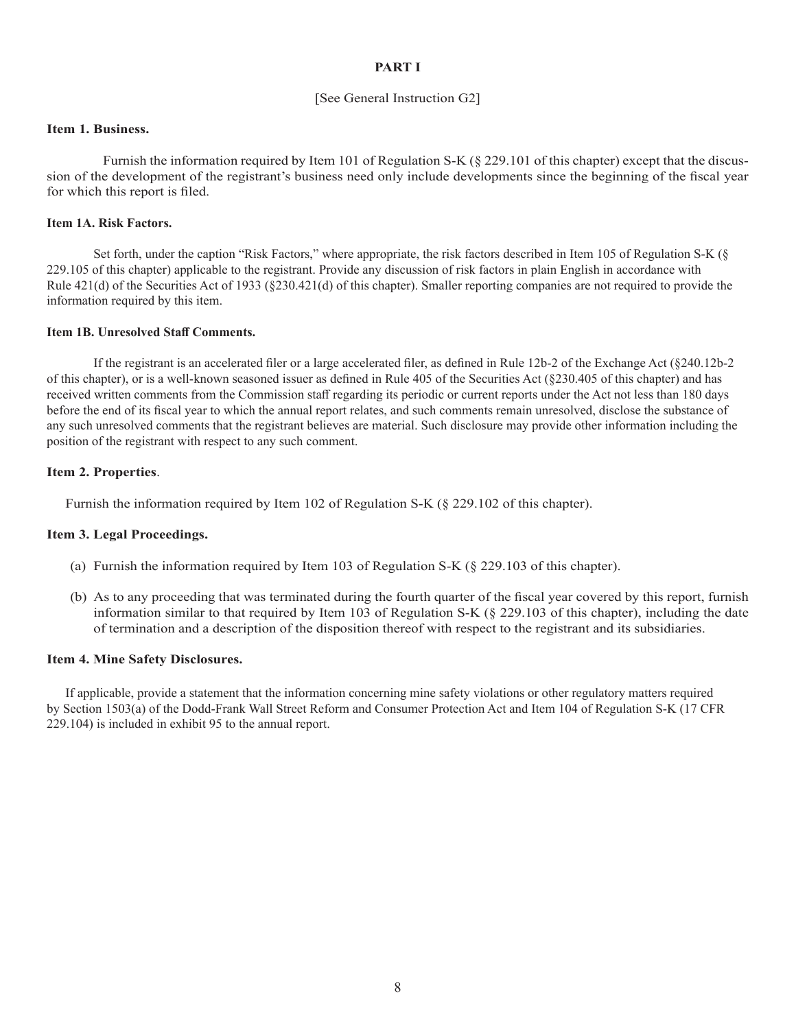# **PART I**

## [See General Instruction G2]

## **Item 1. Business.**

 Furnish the information required by Item 101 of Regulation S-K (§ 229.101 of this chapter) except that the discussion of the development of the registrant's business need only include developments since the beginning of the fiscal year for which this report is filed.

### **Item 1A. Risk Factors.**

 Set forth, under the caption "Risk Factors," where appropriate, the risk factors described in Item 105 of Regulation S-K (§ 229.105 of this chapter) applicable to the registrant. Provide any discussion of risk factors in plain English in accordance with Rule 421(d) of the Securities Act of 1933 (§230.421(d) of this chapter). Smaller reporting companies are not required to provide the information required by this item.

### **Item 1B. Unresolved Staff Comments.**

If the registrant is an accelerated filer or a large accelerated filer, as defined in Rule 12b-2 of the Exchange Act ( $\S 240.12b-2$ of this chapter), or is a well-known seasoned issuer as defined in Rule 405 of the Securities Act (§230.405 of this chapter) and has received written comments from the Commission staff regarding its periodic or current reports under the Act not less than 180 days before the end of its fiscal year to which the annual report relates, and such comments remain unresolved, disclose the substance of any such unresolved comments that the registrant believes are material. Such disclosure may provide other information including the position of the registrant with respect to any such comment.

### **Item 2. Properties**.

Furnish the information required by Item 102 of Regulation S-K (§ 229.102 of this chapter).

# **Item 3. Legal Proceedings.**

- (a) Furnish the information required by Item 103 of Regulation S-K (§ 229.103 of this chapter).
- (b) As to any proceeding that was terminated during the fourth quarter of the fiscal year covered by this report, furnish information similar to that required by Item 103 of Regulation S-K (§ 229.103 of this chapter), including the date of termination and a description of the disposition thereof with respect to the registrant and its subsidiaries.

## **Item 4. Mine Safety Disclosures.**

 If applicable, provide a statement that the information concerning mine safety violations or other regulatory matters required by Section 1503(a) of the Dodd-Frank Wall Street Reform and Consumer Protection Act and Item 104 of Regulation S-K (17 CFR 229.104) is included in exhibit 95 to the annual report.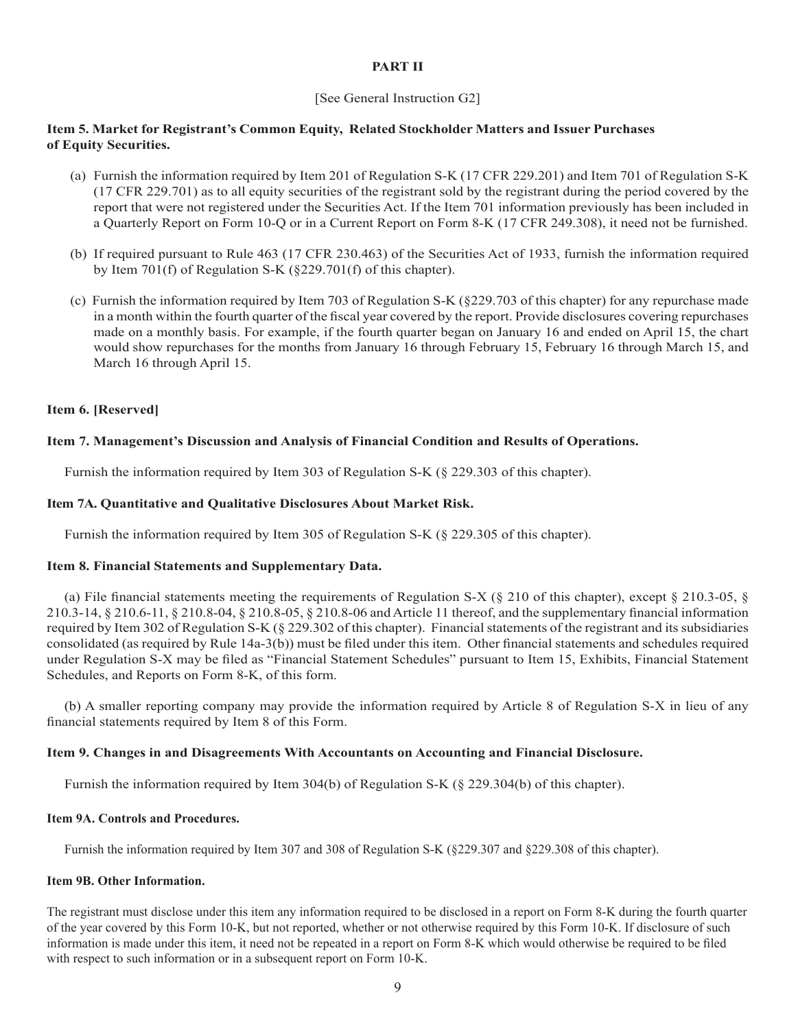# **PART II**

## [See General Instruction G2]

## **Item 5. Market for Registrant's Common Equity, Related Stockholder Matters and Issuer Purchases of Equity Securities.**

- (a) Furnish the information required by Item 201 of Regulation S-K (17 CFR 229.201) and Item 701 of Regulation S-K (17 CFR 229.701) as to all equity securities of the registrant sold by the registrant during the period covered by the report that were not registered under the Securities Act. If the Item 701 information previously has been included in a Quarterly Report on Form 10-Q or in a Current Report on Form 8-K (17 CFR 249.308), it need not be furnished.
- (b) If required pursuant to Rule 463 (17 CFR 230.463) of the Securities Act of 1933, furnish the information required by Item 701(f) of Regulation S-K (§229.701(f) of this chapter).
- (c) Furnish the information required by Item 703 of Regulation S-K (§229.703 of this chapter) for any repurchase made in a month within the fourth quarter of the fiscal year covered by the report. Provide disclosures covering repurchases made on a monthly basis. For example, if the fourth quarter began on January 16 and ended on April 15, the chart would show repurchases for the months from January 16 through February 15, February 16 through March 15, and March 16 through April 15.

### **Item 6. [Reserved]**

### **Item 7. Management's Discussion and Analysis of Financial Condition and Results of Operations.**

Furnish the information required by Item 303 of Regulation S-K (§ 229.303 of this chapter).

### **Item 7A. Quantitative and Qualitative Disclosures About Market Risk.**

Furnish the information required by Item 305 of Regulation S-K (§ 229.305 of this chapter).

## **Item 8. Financial Statements and Supplementary Data.**

 (a) File financial statements meeting the requirements of Regulation S-X (§ 210 of this chapter), except § 210.3-05, § 210.3-14, § 210.6-11, § 210.8-04, § 210.8-05, § 210.8-06 and Article 11 thereof, and the supplementary financial information required by Item 302 of Regulation S-K (§ 229.302 of this chapter). Financial statements of the registrant and its subsidiaries consolidated (as required by Rule 14a-3(b)) must be filed under this item. Other financial statements and schedules required under Regulation S-X may be filed as "Financial Statement Schedules" pursuant to Item 15, Exhibits, Financial Statement Schedules, and Reports on Form 8-K, of this form.

 (b) A smaller reporting company may provide the information required by Article 8 of Regulation S-X in lieu of any financial statements required by Item 8 of this Form.

### **Item 9. Changes in and Disagreements With Accountants on Accounting and Financial Disclosure.**

Furnish the information required by Item 304(b) of Regulation S-K (§ 229.304(b) of this chapter).

#### **Item 9A. Controls and Procedures.**

Furnish the information required by Item 307 and 308 of Regulation S-K (§229.307 and §229.308 of this chapter).

#### **Item 9B. Other Information.**

The registrant must disclose under this item any information required to be disclosed in a report on Form 8-K during the fourth quarter of the year covered by this Form 10-K, but not reported, whether or not otherwise required by this Form 10-K. If disclosure of such information is made under this item, it need not be repeated in a report on Form 8-K which would otherwise be required to be filed with respect to such information or in a subsequent report on Form 10-K.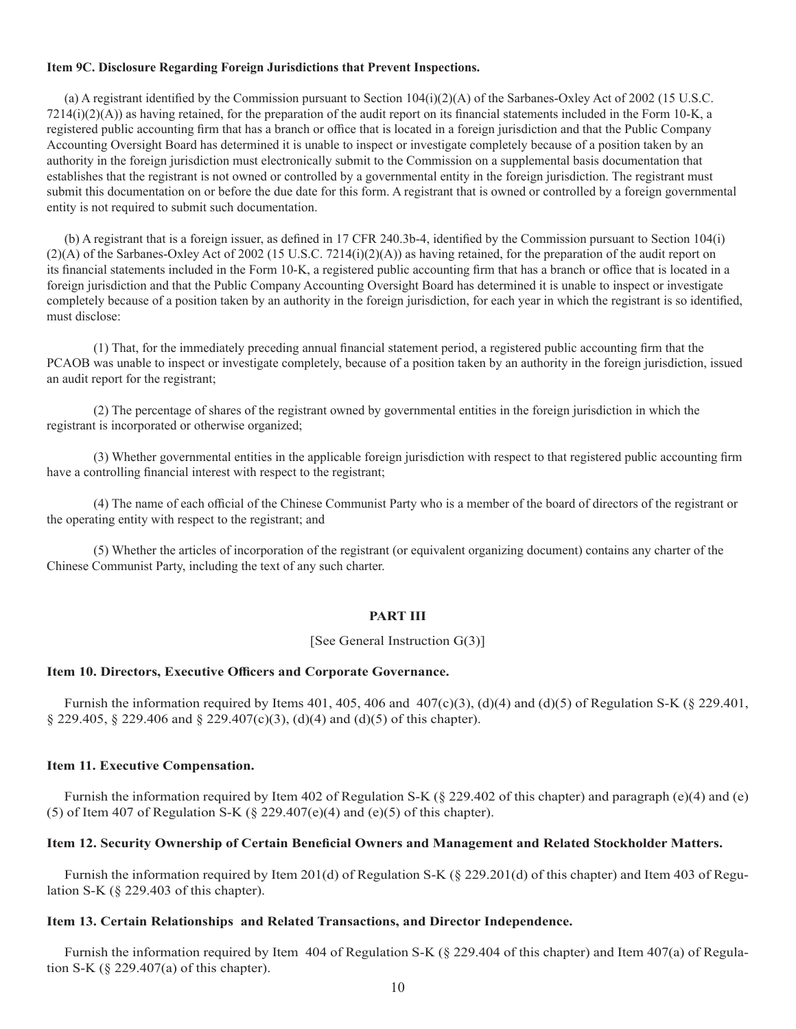## **Item 9C. Disclosure Regarding Foreign Jurisdictions that Prevent Inspections.**

(a) A registrant identified by the Commission pursuant to Section  $104(i)(2)(A)$  of the Sarbanes-Oxley Act of 2002 (15 U.S.C.  $7214(i)(2)(A)$ ) as having retained, for the preparation of the audit report on its financial statements included in the Form 10-K, a registered public accounting firm that has a branch or office that is located in a foreign jurisdiction and that the Public Company Accounting Oversight Board has determined it is unable to inspect or investigate completely because of a position taken by an authority in the foreign jurisdiction must electronically submit to the Commission on a supplemental basis documentation that establishes that the registrant is not owned or controlled by a governmental entity in the foreign jurisdiction. The registrant must submit this documentation on or before the due date for this form. A registrant that is owned or controlled by a foreign governmental entity is not required to submit such documentation.

(b) A registrant that is a foreign issuer, as defined in 17 CFR 240.3b-4, identified by the Commission pursuant to Section  $104(i)$ (2)(A) of the Sarbanes-Oxley Act of 2002 (15 U.S.C. 7214(i)(2)(A)) as having retained, for the preparation of the audit report on its financial statements included in the Form 10-K, a registered public accounting firm that has a branch or office that is located in a foreign jurisdiction and that the Public Company Accounting Oversight Board has determined it is unable to inspect or investigate completely because of a position taken by an authority in the foreign jurisdiction, for each year in which the registrant is so identified, must disclose:

(1) That, for the immediately preceding annual financial statement period, a registered public accounting firm that the PCAOB was unable to inspect or investigate completely, because of a position taken by an authority in the foreign jurisdiction, issued an audit report for the registrant;

 (2) The percentage of shares of the registrant owned by governmental entities in the foreign jurisdiction in which the registrant is incorporated or otherwise organized;

(3) Whether governmental entities in the applicable foreign jurisdiction with respect to that registered public accounting firm have a controlling financial interest with respect to the registrant;

(4) The name of each official of the Chinese Communist Party who is a member of the board of directors of the registrant or the operating entity with respect to the registrant; and

 (5) Whether the articles of incorporation of the registrant (or equivalent organizing document) contains any charter of the Chinese Communist Party, including the text of any such charter.

# **PART III**

[See General Instruction G(3)]

### Item 10. Directors, Executive Officers and Corporate Governance.

Furnish the information required by Items 401, 405, 406 and 407(c)(3), (d)(4) and (d)(5) of Regulation S-K (§ 229.401, § 229.405, § 229.406 and § 229.407(c)(3), (d)(4) and (d)(5) of this chapter).

## **Item 11. Executive Compensation.**

 Furnish the information required by Item 402 of Regulation S-K (§ 229.402 of this chapter) and paragraph (e)(4) and (e) (5) of Item 407 of Regulation S-K ( $\S$  229.407(e)(4) and (e)(5) of this chapter).

#### **Item 12. Security Ownership of Certain Beneficial Owners and Management and Related Stockholder Matters.**

 Furnish the information required by Item 201(d) of Regulation S-K (§ 229.201(d) of this chapter) and Item 403 of Regulation S-K (§ 229.403 of this chapter).

# **Item 13. Certain Relationships and Related Transactions, and Director Independence.**

 Furnish the information required by Item 404 of Regulation S-K (§ 229.404 of this chapter) and Item 407(a) of Regulation S-K  $(\S$  229.407(a) of this chapter).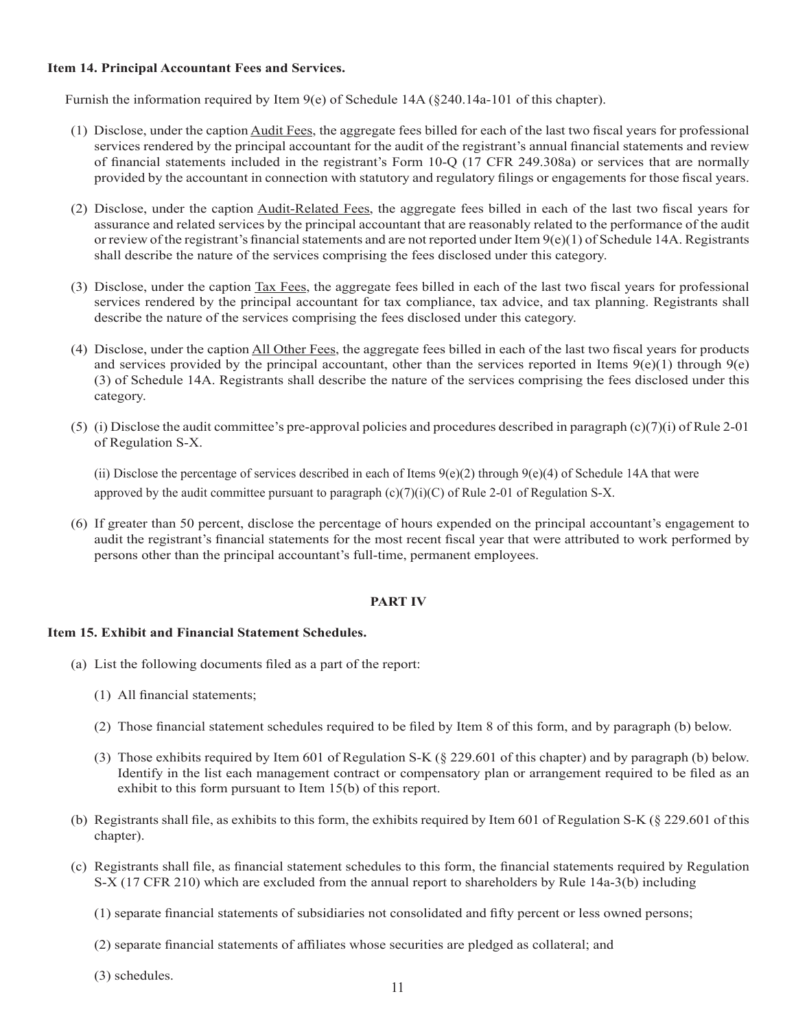# **Item 14. Principal Accountant Fees and Services.**

Furnish the information required by Item 9(e) of Schedule 14A (§240.14a-101 of this chapter).

- (1) Disclose, under the caption  $\Delta u$  Fees, the aggregate fees billed for each of the last two fiscal years for professional services rendered by the principal accountant for the audit of the registrant's annual financial statements and review of financial statements included in the registrant's Form 10-Q (17 CFR 249.308a) or services that are normally provided by the accountant in connection with statutory and regulatory filings or engagements for those fiscal years.
- (2) Disclose, under the caption Audit-Related Fees, the aggregate fees billed in each of the last two fiscal years for assurance and related services by the principal accountant that are reasonably related to the performance of the audit or review of the registrant's financial statements and are not reported under Item  $9(e)(1)$  of Schedule 14A. Registrants shall describe the nature of the services comprising the fees disclosed under this category.
- (3) Disclose, under the caption Tax Fees, the aggregate fees billed in each of the last two fiscal years for professional services rendered by the principal accountant for tax compliance, tax advice, and tax planning. Registrants shall describe the nature of the services comprising the fees disclosed under this category.
- (4) Disclose, under the caption All Other Fees, the aggregate fees billed in each of the last two fiscal years for products and services provided by the principal accountant, other than the services reported in Items  $9(e)(1)$  through  $9(e)$ (3) of Schedule 14A. Registrants shall describe the nature of the services comprising the fees disclosed under this category.
- (5) (i) Disclose the audit committee's pre-approval policies and procedures described in paragraph (c)(7)(i) of Rule 2-01 of Regulation S-X.

(ii) Disclose the percentage of services described in each of Items  $9(e)(2)$  through  $9(e)(4)$  of Schedule 14A that were approved by the audit committee pursuant to paragraph  $(c)(7)(i)(C)$  of Rule 2-01 of Regulation S-X.

(6) If greater than 50 percent, disclose the percentage of hours expended on the principal accountant's engagement to audit the registrant's financial statements for the most recent fiscal year that were attributed to work performed by persons other than the principal accountant's full-time, permanent employees.

# **PART IV**

# **Item 15. Exhibit and Financial Statement Schedules.**

- (a) List the following documents filed as a part of the report:
	- $(1)$  All financial statements;
	- (2) Those financial statement schedules required to be filed by Item 8 of this form, and by paragraph (b) below.
	- (3) Those exhibits required by Item 601 of Regulation S-K (§ 229.601 of this chapter) and by paragraph (b) below. Identify in the list each management contract or compensatory plan or arrangement required to be filed as an exhibit to this form pursuant to Item 15(b) of this report.
- (b) Registrants shall file, as exhibits to this form, the exhibits required by Item 601 of Regulation S-K ( $\S$  229.601 of this chapter).
- (c) Registrants shall file, as financial statement schedules to this form, the financial statements required by Regulation S -X (17 CFR 210) which are excluded from the annual report to shareholders by Rule 14a-3(b) including
	- (1) separate financial statements of subsidiaries not consolidated and fifty percent or less owned persons;
	- (2) separate financial statements of affiliates whose securities are pledged as collateral; and
	- (3) schedules.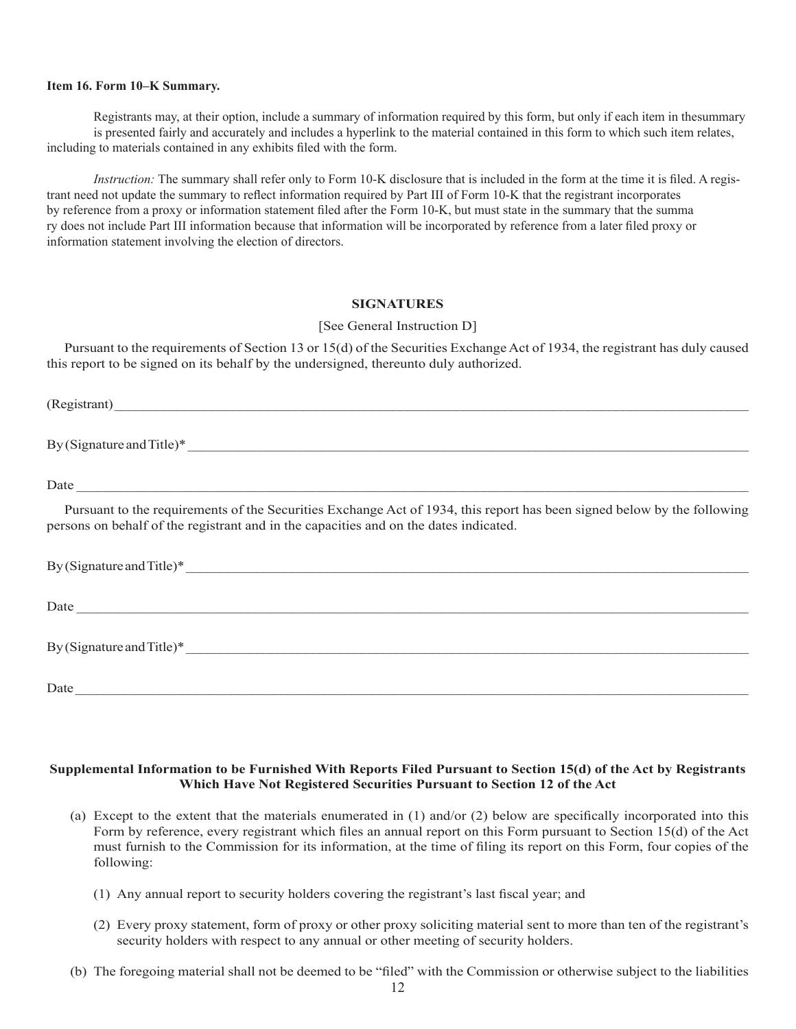### **Item 16. Form 10–K Summary.**

 Registrants may, at their option, include a summary of information required by this form, but only if each item in thesummary is presented fairly and accurately and includes a hyperlink to the material contained in this form to which such item relates, including to materials contained in any exhibits filed with the form.

*Instruction:* The summary shall refer only to Form 10-K disclosure that is included in the form at the time it is filed. A registrant need not update the summary to reflect information required by Part III of Form 10-K that the registrant incorporates by reference from a proxy or information statement filed after the Form 10-K, but must state in the summary that the summa ry does not include Part III information because that information will be incorporated by reference from a later filed proxy or information statement involving the election of directors.

## **SIGNATURES**

## [See General Instruction D]

 Pursuant to the requirements of Section 13 or 15(d) of the Securities Exchange Act of 1934, the registrant has duly caused this report to be signed on its behalf by the undersigned, thereunto duly authorized.

| By (Signature and Title)*                                                                                                                                                                                                      |
|--------------------------------------------------------------------------------------------------------------------------------------------------------------------------------------------------------------------------------|
| Date has been accompanied by the contract of the contract of the contract of the contract of the contract of the contract of the contract of the contract of the contract of the contract of the contract of the contract of t |
| Pursuant to the requirements of the Securities Exchange Act of 1934, this report has been signed below by the following<br>persons on behalf of the registrant and in the capacities and on the dates indicated.               |
| By $(Signature and Title)*$                                                                                                                                                                                                    |
|                                                                                                                                                                                                                                |
|                                                                                                                                                                                                                                |

**Supplemental Information to be Furnished With Reports Filed Pursuant to Section 15(d) of the Act by Registrants Which Have Not Registered Securities Pursuant to Section 12 of the Act**

 $\text{Date}$ 

- (a) Except to the extent that the materials enumerated in  $(1)$  and/or  $(2)$  below are specifically incorporated into this Form by reference, every registrant which files an annual report on this Form pursuant to Section 15(d) of the Act must furnish to the Commission for its information, at the time of filing its report on this Form, four copies of the following:
	- (1) Any annual report to security holders covering the registrant's last fiscal year; and
	- (2) Every proxy statement, form of proxy or other proxy soliciting material sent to more than ten of the registrant's security holders with respect to any annual or other meeting of security holders.
- (b) The foregoing material shall not be deemed to be "filed" with the Commission or otherwise subject to the liabilities